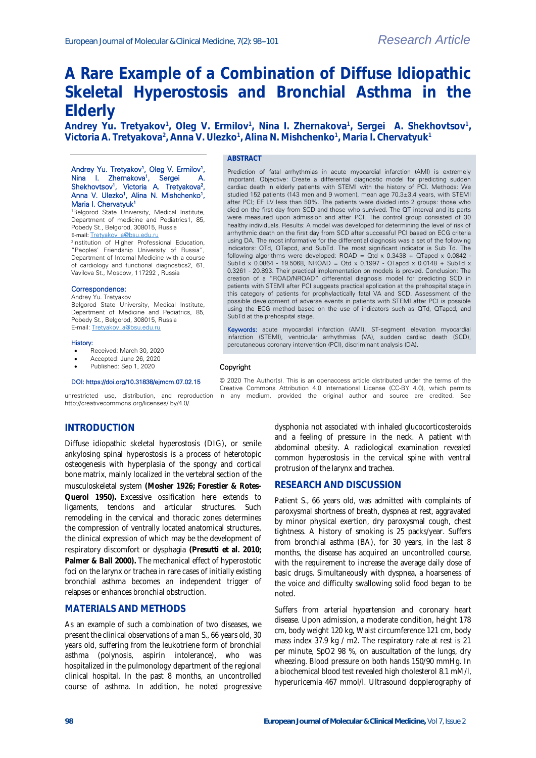# **A Rare Example of a Combination of Diffuse Idiopathic Skeletal Hyperostosis and Bronchial Asthma in the Elderly**

Andrey Yu. Tretyakov<sup>1</sup>, Oleg V. Ermilov<sup>1</sup>, Nina I. Zhernakova<sup>1</sup>, Sergei A. Shekhovtsov<sup>1</sup>, **Victoria A. Tretyakova<sup>2</sup> , Anna V. Ulezko<sup>1</sup> , Alina N. Mishchenko<sup>1</sup> , Maria I. Chervatyuk<sup>1</sup>**

#### Andrey Yu. Tretyakov<sup>1</sup>, Oleg V. Ermilov<sup>1</sup>, Nina I. Zhernakova<sup>1</sup>, Sergei A. Shekhovtsov<sup>1</sup>, Victoria A. Tretyakova<sup>2</sup>, Anna V. Ulezko<sup>1</sup>, Alina N. Mishchenko<sup>1</sup>, Maria I. Chervatyuk<sup>1</sup>

<sup>1</sup>Belgorod State University, Medical Institute, Department of medicine and Pediatrics1, 85, Pobedy St., Belgorod, 308015, Russia E-mail: [Tretyakov\\_a@bsu.edu.ru](mailto:Tretyakov_a@bsu.edu.ru)

2 Institution of Higher Professional Education, "Peoples' Friendship University of Russia", Department of Internal Medicine with a course of cardiology and functional diagnostics2, 61, Vavilova St., Moscow, 117292 , Russia

### Correspondence:

Andrey Yu. Tretyakov Belgorod State University, Medical Institute, Department of Medicine and Pediatrics, 85, Pobedy St., Belgorod, 308015, Russia E-mail[: Tretyakov\\_a@bsu.edu.ru](mailto:Tretyakov_a@bsu.edu.ru)

#### History:

- Received: March 30, 2020
- Accepted: June 26, 2020

## Published: Sep 1, 2020

#### DOI: https://doi.org/10.31838/ejmcm.07.02.15

http://creativecommons.org/licenses/ by/4.0/.

## **INTRODUCTION**

Diffuse idiopathic skeletal hyperostosis (DIG), or senile ankylosing spinal hyperostosis is a process of heterotopic osteogenesis with hyperplasia of the spongy and cortical bone matrix, mainly localized in the vertebral section of the musculoskeletal system **(Mosher 1926; Forestier & Rotes-Querol 1950).** Excessive ossification here extends to ligaments, tendons and articular structures. Such remodeling in the cervical and thoracic zones determines the compression of ventrally located anatomical structures, the clinical expression of which may be the development of respiratory discomfort or dysphagia **(Presutti et al. 2010; Palmer & Ball 2000).** The mechanical effect of hyperostotic foci on the larynx or trachea in rare cases of initially existing bronchial asthma becomes an independent trigger of relapses or enhances bronchial obstruction.

## **MATERIALS AND METHODS**

As an example of such a combination of two diseases, we present the clinical observations of a man S., 66 years old, 30 years old, suffering from the leukotriene form of bronchial asthma (polynosis, aspirin intolerance), who was hospitalized in the pulmonology department of the regional clinical hospital. In the past 8 months, an uncontrolled course of asthma. In addition, he noted progressive

**ABSTRACT**

Prediction of fatal arrhythmias in acute myocardial infarction (AMI) is extremely important. Objective: Create a differential diagnostic model for predicting sudden cardiac death in elderly patients with STEMI with the history of PCI. Methods: We studied 152 patients (143 men and 9 women), mean age 70.3±3.4 years, with STEMI after PCI; EF LV less than 50%. The patients were divided into 2 groups: those who died on the first day from SCD and those who survived. The QT interval and its parts were measured upon admission and after PCI. The control group consisted of 30 healthy individuals. Results: A model was developed for determining the level of risk of arrhythmic death on the first day from SCD after successful PCI based on ECG criteria using DA. The most informative for the differential diagnosis was a set of the following indicators: QTd, QTapcd, and SubTd. The most significant indicator is Sub Td. The following algorithms were developed: ROAD = Qtd x 0.3438 + QTapcd x 0.0842 -SubTd x 0.0864 - 19.5068, NROAD = Qtd x 0.1997 - QTapcd x 0.0148 + SubTd x 0.3261 - 20.893. Their practical implementation on models is proved. Conclusion: The creation of a "ROAD/NROAD" differential diagnosis model for predicting SCD in patients with STEMI after PCI suggests practical application at the prehospital stage in this category of patients for prophylactically fatal VA and SCD. Assessment of the possible development of adverse events in patients with STEMI after PCI is possible using the ECG method based on the use of indicators such as QTd, QTapcd, and SubTd at the prehospital stage.

Keywords: acute myocardial infarction (AMI), ST-segment elevation myocardial infarction (STEMI), ventricular arrhythmias (VA), sudden cardiac death (SCD), percutaneous coronary intervention (PCI), discriminant analysis (DA).

#### Copyright

© 2020 The Author(s). This is an openaccess article distributed under the terms of the Creative Commons Attribution 4.0 International License (CC-BY 4.0), which permits unrestricted use, distribution, and reproduction in any medium, provided the original author and source are credited. See

> dysphonia not associated with inhaled glucocorticosteroids and a feeling of pressure in the neck. A patient with abdominal obesity. A radiological examination revealed common hyperostosis in the cervical spine with ventral protrusion of the larynx and trachea.

## **RESEARCH AND DISCUSSION**

Patient S., 66 years old, was admitted with complaints of paroxysmal shortness of breath, dyspnea at rest, aggravated by minor physical exertion, dry paroxysmal cough, chest tightness. A history of smoking is 25 packs/year. Suffers from bronchial asthma (BA), for 30 years, in the last 8 months, the disease has acquired an uncontrolled course, with the requirement to increase the average daily dose of basic drugs. Simultaneously with dyspnea, a hoarseness of the voice and difficulty swallowing solid food began to be noted.

Suffers from arterial hypertension and coronary heart disease. Upon admission, a moderate condition, height 178 cm, body weight 120 kg, Waist circumference 121 cm, body mass index 37.9 kg / m2. The respiratory rate at rest is 21 per minute, SpO2 98 %, on auscultation of the lungs, dry wheezing. Blood pressure on both hands 150/90 mmHg. In a biochemical blood test revealed high cholesterol 8.1 mM/l, hyperuricemia 467 mmol/l. Ultrasound dopplerography of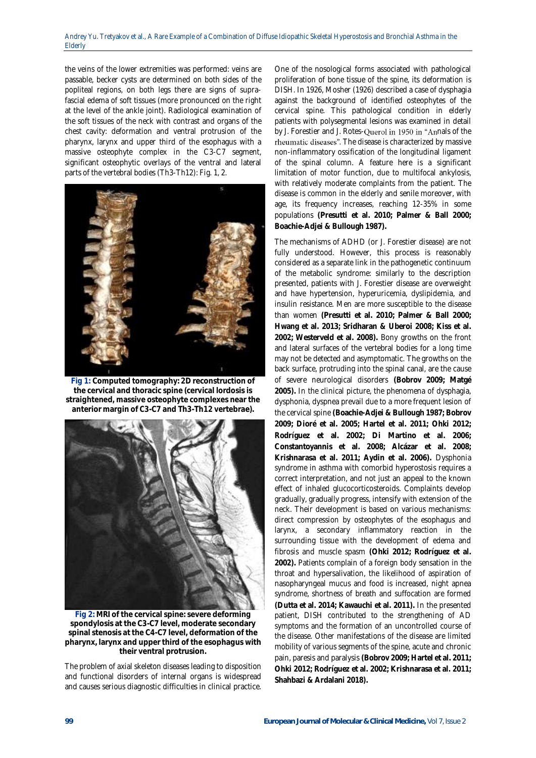the veins of the lower extremities was performed: veins are passable, becker cysts are determined on both sides of the popliteal regions, on both legs there are signs of suprafascial edema of soft tissues (more pronounced on the right at the level of the ankle joint). Radiological examination of the soft tissues of the neck with contrast and organs of the chest cavity: deformation and ventral protrusion of the pharynx, larynx and upper third of the esophagus with a massive osteophyte complex in the C3-C7 segment, significant osteophytic overlays of the ventral and lateral parts of the vertebral bodies (Th3-Th12): Fig. 1, 2.



**Fig 1: Computed tomography: 2D reconstruction of the cervical and thoracic spine (cervical lordosis is straightened, massive osteophyte complexes near the anterior margin of C3-C7 and Th3-Th12 vertebrae).**



**Fig 2: MRI of the cervical spine: severe deforming spondylosis at the C3-C7 level, moderate secondary spinal stenosis at the C4-C7 level, deformation of the pharynx, larynx and upper third of the esophagus with their ventral protrusion.**

The problem of axial skeleton diseases leading to disposition and functional disorders of internal organs is widespread and causes serious diagnostic difficulties in clinical practice.

One of the nosological forms associated with pathological proliferation of bone tissue of the spine, its deformation is DISH. In 1926, Mosher (1926) described a case of dysphagia against the background of identified osteophytes of the cervical spine. This pathological condition in elderly patients with polysegmental lesions was examined in detail by J. Forestier and J. Rotes-Querol in 1950 in "Annals of the rheumatic diseases". The disease is characterized by massive non-inflammatory ossification of the longitudinal ligament of the spinal column. A feature here is a significant limitation of motor function, due to multifocal ankylosis, with relatively moderate complaints from the patient. The disease is common in the elderly and senile moreover, with age, its frequency increases, reaching 12-35% in some populations **(Presutti et al. 2010; Palmer & Ball 2000; Boachie-Adjei & Bullough 1987).**

The mechanisms of ADHD (or J. Forestier disease) are not fully understood. However, this process is reasonably considered as a separate link in the pathogenetic continuum of the metabolic syndrome: similarly to the description presented, patients with J. Forestier disease are overweight and have hypertension, hyperuricemia, dyslipidemia, and insulin resistance. Men are more susceptible to the disease than women **(Presutti et al. 2010; Palmer & Ball 2000; Hwang et al. 2013; Sridharan & Uberoi 2008; Kiss et al. 2002; Westerveld et al. 2008).** Bony growths on the front and lateral surfaces of the vertebral bodies for a long time may not be detected and asymptomatic. The growths on the back surface, protruding into the spinal canal, are the cause of severe neurological disorders **(Bobrov 2009; Matgé 2005).** In the clinical picture, the phenomena of dysphagia, dysphonia, dyspnea prevail due to a more frequent lesion of the cervical spine **(Boachie-Adjei & Bullough 1987; Bobrov 2009; Dioré et al. 2005; Hartel et al. 2011; Ohki 2012; Rodríguez et al. 2002; Di Martino et al. 2006; Constantoyannis et al. 2008; Alcázar et al. 2008; Krishnarasa et al. 2011; Aydin et al. 2006).** Dysphonia syndrome in asthma with comorbid hyperostosis requires a correct interpretation, and not just an appeal to the known effect of inhaled glucocorticosteroids. Complaints develop gradually, gradually progress, intensify with extension of the neck. Their development is based on various mechanisms: direct compression by osteophytes of the esophagus and larynx, a secondary inflammatory reaction in the surrounding tissue with the development of edema and fibrosis and muscle spasm **(Ohki 2012; Rodríguez et al. 2002).** Patients complain of a foreign body sensation in the throat and hypersalivation, the likelihood of aspiration of nasopharyngeal mucus and food is increased, night apnea syndrome, shortness of breath and suffocation are formed **(Dutta et al. 2014; Kawauchi et al. 2011).** In the presented patient, DISH contributed to the strengthening of AD symptoms and the formation of an uncontrolled course of the disease. Other manifestations of the disease are limited mobility of various segments of the spine, acute and chronic pain, paresis and paralysis **(Bobrov 2009; Hartel et al. 2011; Ohki 2012; Rodríguez et al. 2002; Krishnarasa et al. 2011; Shahbazi & Ardalani 2018).**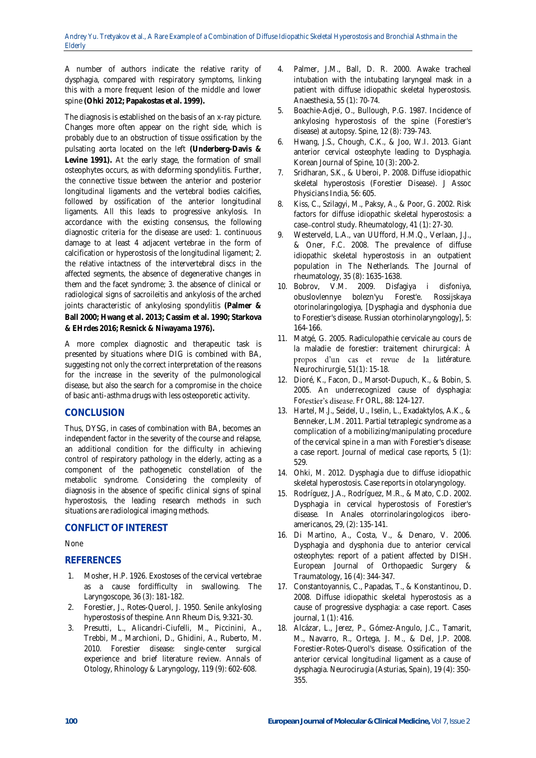A number of authors indicate the relative rarity of dysphagia, compared with respiratory symptoms, linking this with a more frequent lesion of the middle and lower spine **(Ohki 2012; Papakostas et al. 1999).**

The diagnosis is established on the basis of an x-ray picture. Changes more often appear on the right side, which is probably due to an obstruction of tissue ossification by the pulsating aorta located on the left **(Underberg-Davis & Levine 1991).** At the early stage, the formation of small osteophytes occurs, as with deforming spondylitis. Further, the connective tissue between the anterior and posterior longitudinal ligaments and the vertebral bodies calcifies, followed by ossification of the anterior longitudinal ligaments. All this leads to progressive ankylosis. In accordance with the existing consensus, the following diagnostic criteria for the disease are used: 1. continuous damage to at least 4 adjacent vertebrae in the form of calcification or hyperostosis of the longitudinal ligament; 2. the relative intactness of the intervertebral discs in the affected segments, the absence of degenerative changes in them and the facet syndrome; 3. the absence of clinical or radiological signs of sacroileitis and ankylosis of the arched joints characteristic of ankylosing spondylitis **(Palmer & Ball 2000; Hwang et al. 2013; Cassim et al. 1990; Starkova & EHrdes 2016; Resnick & Niwayama 1976).**

A more complex diagnostic and therapeutic task is presented by situations where DIG is combined with BA, suggesting not only the correct interpretation of the reasons for the increase in the severity of the pulmonological disease, but also the search for a compromise in the choice of basic anti-asthma drugs with less osteoporetic activity.

# **CONCLUSION**

Thus, DYSG, in cases of combination with BA, becomes an independent factor in the severity of the course and relapse, an additional condition for the difficulty in achieving control of respiratory pathology in the elderly, acting as a component of the pathogenetic constellation of the metabolic syndrome. Considering the complexity of diagnosis in the absence of specific clinical signs of spinal hyperostosis, the leading research methods in such situations are radiological imaging methods.

# **CONFLICT OF INTEREST**

## None

# **REFERENCES**

- 1. Mosher, H.P. 1926. Exostoses of the cervical vertebrae as a cause fordifficulty in swallowing. The Laryngoscope, 36 (3): 181-182.
- 2. Forestier, J., Rotes-Querol, J. 1950. Senile ankylosing hyperostosis of thespine. Ann Rheum Dis, 9:321-30.
- 3. Presutti, L., Alicandri-Ciufelli, M., Piccinini, A., Trebbi, M., Marchioni, D., Ghidini, A., Ruberto, M. 2010. Forestier disease: single-center surgical experience and brief literature review. Annals of Otology, Rhinology & Laryngology, 119 (9): 602-608.
- 4. Palmer, J.M., Ball, D. R. 2000. Awake tracheal intubation with the intubating laryngeal mask in a patient with diffuse idiopathic skeletal hyperostosis. Anaesthesia, 55 (1): 70-74.
- 5. Boachie-Adjei, O., Bullough, P.G. 1987. Incidence of ankylosing hyperostosis of the spine (Forestier's disease) at autopsy. Spine, 12 (8): 739-743.
- 6. Hwang, J.S., Chough, C.K., & Joo, W.I. 2013. Giant anterior cervical osteophyte leading to Dysphagia. Korean Journal of Spine, 10 (3): 200-2.
- 7. Sridharan, S.K., & Uberoi, P. 2008. Diffuse idiopathic skeletal hyperostosis (Forestier Disease). J Assoc Physicians India, 56: 605.
- 8. Kiss, C., Szilagyi, M., Paksy, A., & Poor, G. 2002. Risk factors for diffuse idiopathic skeletal hyperostosis: a case-control study. Rheumatology, 41 (1): 27-30.
- 9. Westerveld, L.A., van UUfford, H.M.Q., Verlaan, J.J., & Oner, F.C. 2008. The prevalence of diffuse idiopathic skeletal hyperostosis in an outpatient population in The Netherlands. The Journal of rheumatology, 35 (8): 1635-1638.
- 10. Bobrov, V.M. 2009. Disfagiya i disfoniya, obuslovlennye bolezn'yu Forest'e. Rossijskaya otorinolaringologiya, [Dysphagia and dysphonia due to Forestier's disease. Russian otorhinolaryngology], 5: 164-166.
- 11. Matgé, G. 2005. Radiculopathie cervicale au cours de la maladie de forestier: traitement chirurgical: À propos d'un cas et revue de la littérature. Neurochirurgie, 51(1): 15-18.
- 12. Dioré, K., Facon, D., Marsot-Dupuch, K., & Bobin, S. 2005. An underrecognized cause of dysphagia: Forestier's disease. Fr ORL, 88: 124-127.
- 13. Hartel, M.J., Seidel, U., Iselin, L., Exadaktylos, A.K., & Benneker, L.M. 2011. Partial tetraplegic syndrome as a complication of a mobilizing/manipulating procedure of the cervical spine in a man with Forestier's disease: a case report. Journal of medical case reports, 5 (1): 529.
- 14. Ohki, M. 2012. Dysphagia due to diffuse idiopathic skeletal hyperostosis. Case reports in otolaryngology.
- 15. Rodríguez, J.A., Rodríguez, M.R., & Mato, C.D. 2002. Dysphagia in cervical hyperostosis of Forestier's disease. In Anales otorrinolaringologicos iberoamericanos, 29, (2): 135-141.
- 16. Di Martino, A., Costa, V., & Denaro, V. 2006. Dysphagia and dysphonia due to anterior cervical osteophytes: report of a patient affected by DISH. European Journal of Orthopaedic Surgery & Traumatology, 16 (4): 344-347.
- 17. Constantoyannis, C., Papadas, T., & Konstantinou, D. 2008. Diffuse idiopathic skeletal hyperostosis as a cause of progressive dysphagia: a case report. Cases journal, 1 (1): 416.
- 18. Alcázar, L., Jerez, P., Gómez-Angulo, J.C., Tamarit, M., Navarro, R., Ortega, J. M., & Del, J.P. 2008. Forestier-Rotes-Querol's disease. Ossification of the anterior cervical longitudinal ligament as a cause of dysphagia. Neurocirugia (Asturias, Spain), 19 (4): 350- 355.